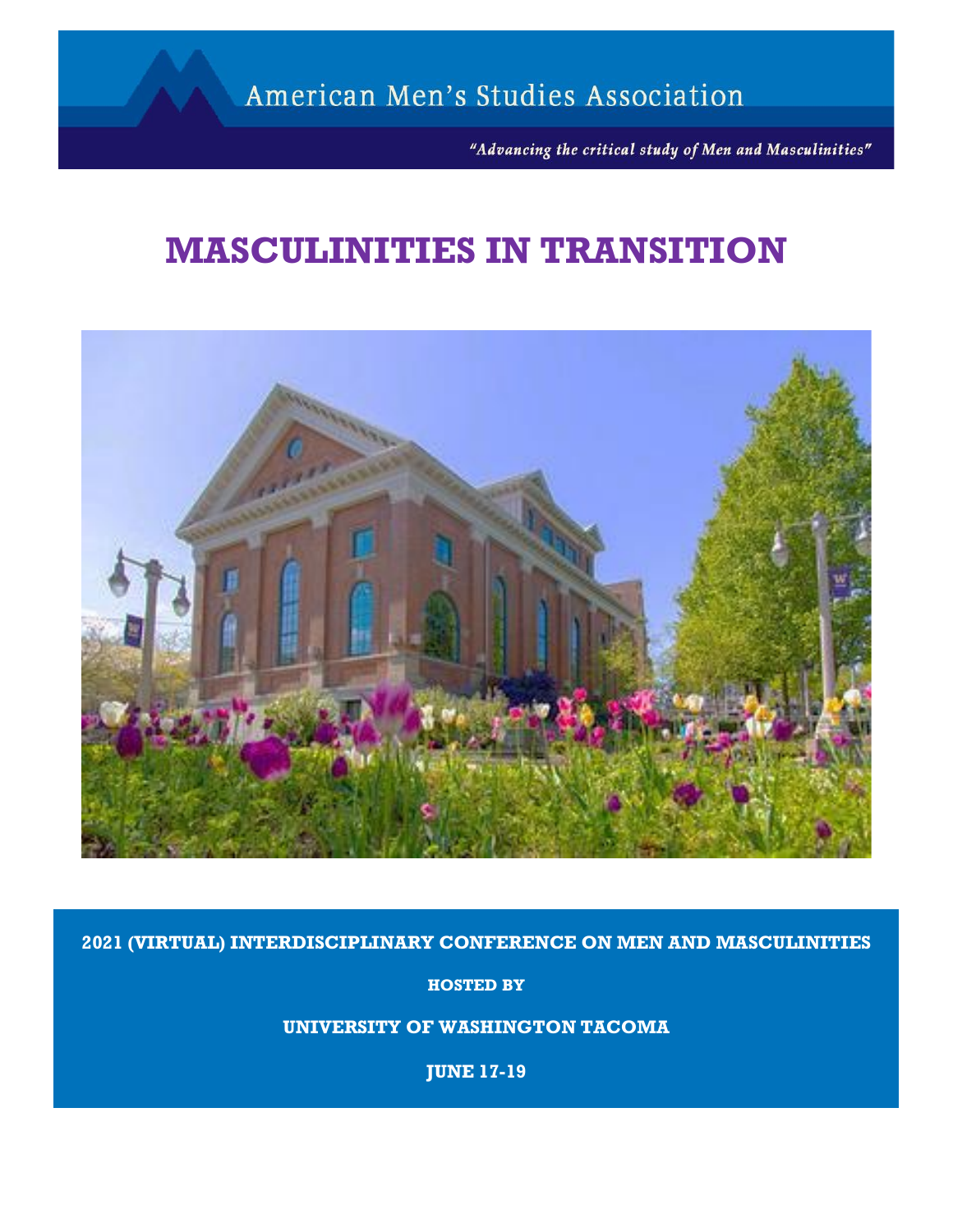"Advancing the critical study of Men and Masculinities"

# **MASCULINITIES IN TRANSITION**



**2021 (VIRTUAL) INTERDISCIPLINARY CONFERENCE ON MEN AND MASCULINITIES**

**HOSTED BY**

**UNIVERSITY OF WASHINGTON TACOMA**

**JUNE 17-19**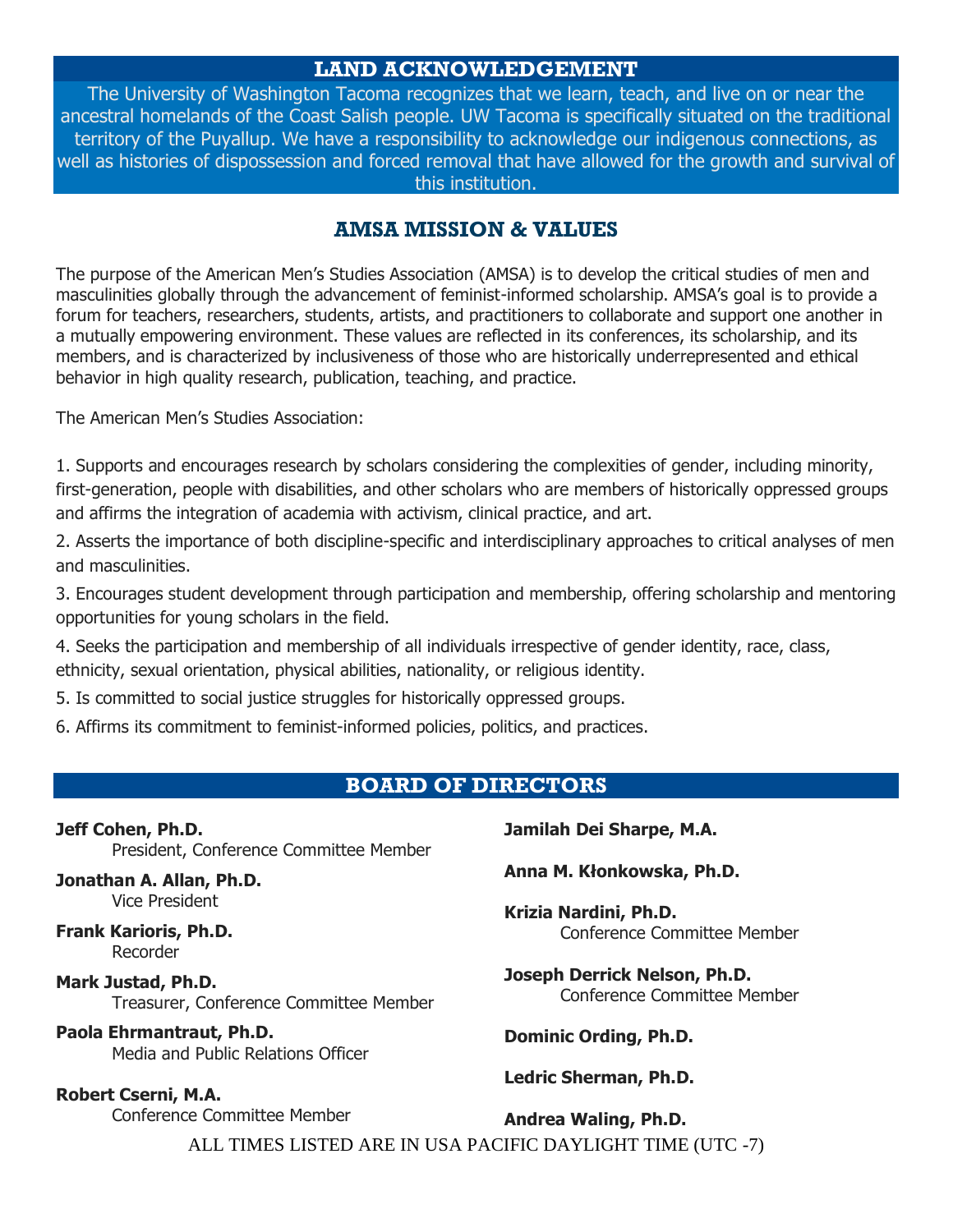# **LAND ACKNOWLEDGEMENT**

The University of Washington Tacoma recognizes that we learn, teach, and live on or near the ancestral homelands of the Coast Salish people. UW Tacoma is specifically situated on the traditional territory of the Puyallup. We have a responsibility to acknowledge our indigenous connections, as well as histories of dispossession and forced removal that have allowed for the growth and survival of this institution.

# **AMSA MISSION & VALUES**

The purpose of the American Men's Studies Association (AMSA) is to develop the critical studies of men and masculinities globally through the advancement of feminist-informed scholarship. AMSA's goal is to provide a forum for teachers, researchers, students, artists, and practitioners to collaborate and support one another in a mutually empowering environment. These values are reflected in its conferences, its scholarship, and its members, and is characterized by inclusiveness of those who are historically underrepresented and ethical behavior in high quality research, publication, teaching, and practice.

The American Men's Studies Association:

1. Supports and encourages research by scholars considering the complexities of gender, including minority, first-generation, people with disabilities, and other scholars who are members of historically oppressed groups and affirms the integration of academia with activism, clinical practice, and art.

2. Asserts the importance of both discipline-specific and interdisciplinary approaches to critical analyses of men and masculinities.

3. Encourages student development through participation and membership, offering scholarship and mentoring opportunities for young scholars in the field.

4. Seeks the participation and membership of all individuals irrespective of gender identity, race, class, ethnicity, sexual orientation, physical abilities, nationality, or religious identity.

5. Is committed to social justice struggles for historically oppressed groups.

6. Affirms its commitment to feminist-informed policies, politics, and practices.

# **BOARD OF DIRECTORS**

**Jeff Cohen, Ph.D.** President, Conference Committee Member

**Jonathan A. Allan, Ph.D.** Vice President

**Frank Karioris, Ph.D.** Recorder

**Mark Justad, Ph.D.** Treasurer, Conference Committee Member

**Paola Ehrmantraut, Ph.D.** Media and Public Relations Officer

**Robert Cserni, M.A.** Conference Committee Member **Jamilah Dei Sharpe, M.A.**

**Anna M. Kłonkowska, Ph.D.**

**Krizia Nardini, Ph.D.** Conference Committee Member

**Joseph Derrick Nelson, Ph.D.** Conference Committee Member

**Dominic Ording, Ph.D.**

**Ledric Sherman, Ph.D.**

ALL TIMES LISTED ARE IN USA PACIFIC DAYLIGHT TIME (UTC -7) **Andrea Waling, Ph.D.**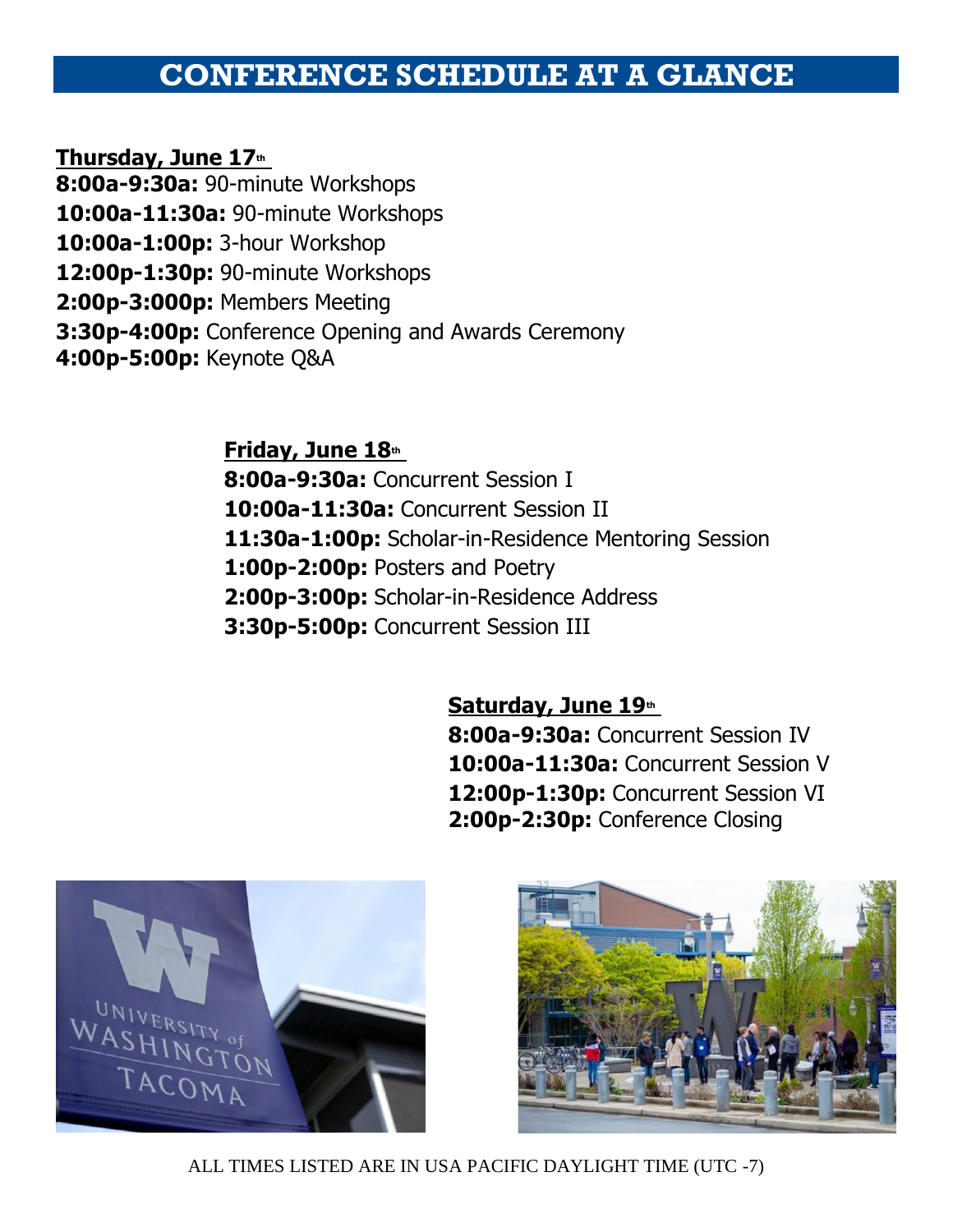# **CONFERENCE SCHEDULE AT A GLANCE**

**Thursday, June 17th**

**8:00a-9:30a:** 90-minute Workshops

**10:00a-11:30a:** 90-minute Workshops

**10:00a-1:00p:** 3-hour Workshop

**12:00p-1:30p:** 90-minute Workshops

**2:00p-3:000p:** Members Meeting

**3:30p-4:00p:** Conference Opening and Awards Ceremony

**4:00p-5:00p:** Keynote Q&A

**Friday, June 18th 8:00a-9:30a:** Concurrent Session I **10:00a-11:30a:** Concurrent Session II **11:30a-1:00p:** Scholar-in-Residence Mentoring Session **1:00p-2:00p:** Posters and Poetry **2:00p-3:00p:** Scholar-in-Residence Address **3:30p-5:00p:** Concurrent Session III

# **Saturday, June 19th**

**8:00a-9:30a:** Concurrent Session IV **10:00a-11:30a:** Concurrent Session V 12:00p-1:30p: Concurrent Session VI **2:00p-2:30p:** Conference Closing



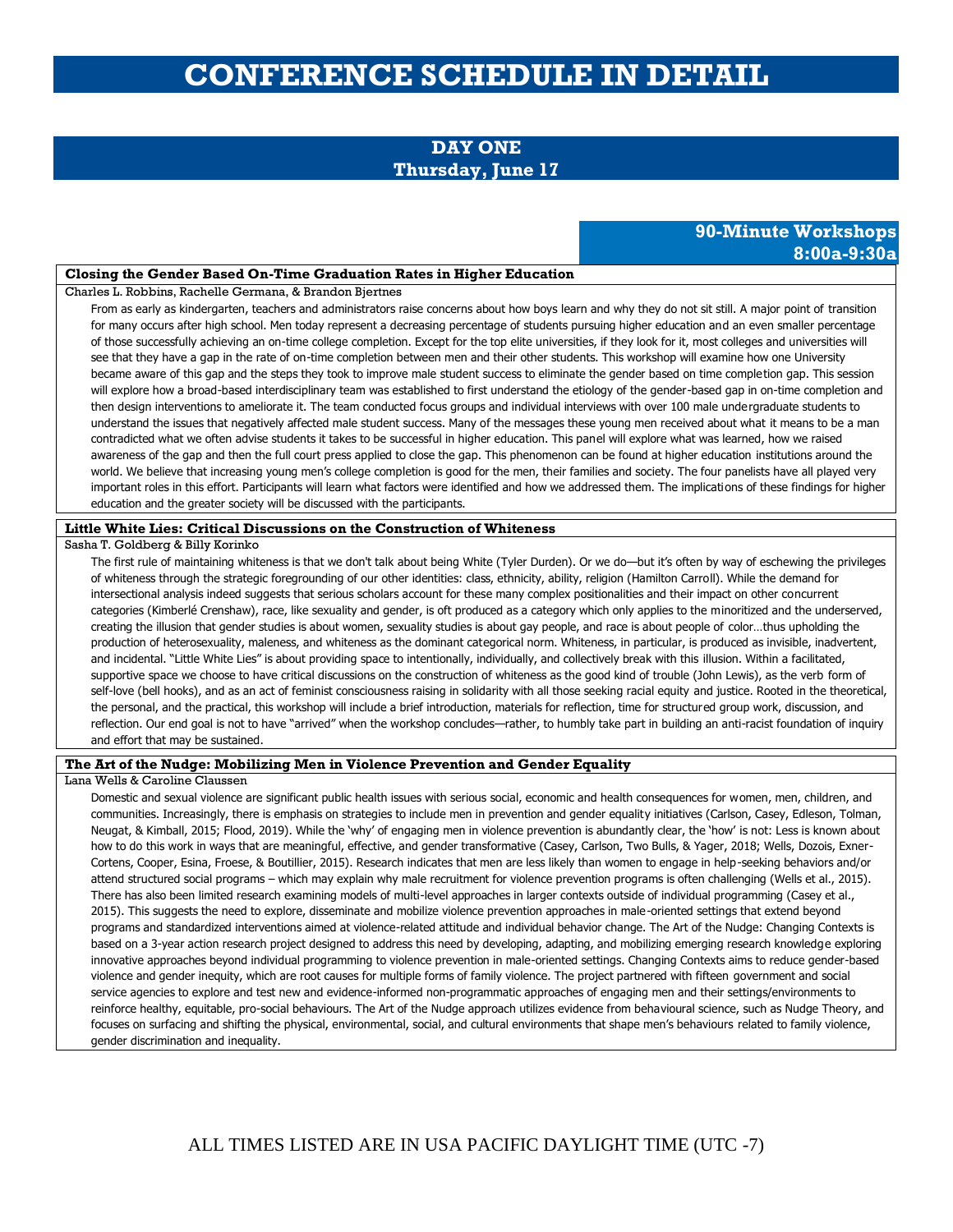# **CONFERENCE SCHEDULE IN DETAIL**

# **DAY ONE Thursday, June 17**

# **90-Minute Workshops 8:00a-9:30a**

#### **Closing the Gender Based On-Time Graduation Rates in Higher Education**

Charles L. Robbins, Rachelle Germana, & Brandon Bjertnes

From as early as kindergarten, teachers and administrators raise concerns about how boys learn and why they do not sit still. A major point of transition for many occurs after high school. Men today represent a decreasing percentage of students pursuing higher education and an even smaller percentage of those successfully achieving an on-time college completion. Except for the top elite universities, if they look for it, most colleges and universities will see that they have a gap in the rate of on-time completion between men and their other students. This workshop will examine how one University became aware of this gap and the steps they took to improve male student success to eliminate the gender based on time completion gap. This session will explore how a broad-based interdisciplinary team was established to first understand the etiology of the gender-based gap in on-time completion and then design interventions to ameliorate it. The team conducted focus groups and individual interviews with over 100 male undergraduate students to understand the issues that negatively affected male student success. Many of the messages these young men received about what it means to be a man contradicted what we often advise students it takes to be successful in higher education. This panel will explore what was learned, how we raised awareness of the gap and then the full court press applied to close the gap. This phenomenon can be found at higher education institutions around the world. We believe that increasing young men's college completion is good for the men, their families and society. The four panelists have all played very important roles in this effort. Participants will learn what factors were identified and how we addressed them. The implications of these findings for higher education and the greater society will be discussed with the participants.

### **Little White Lies: Critical Discussions on the Construction of Whiteness**

#### Sasha T. Goldberg & Billy Korinko

The first rule of maintaining whiteness is that we don't talk about being White (Tyler Durden). Or we do—but it's often by way of eschewing the privileges of whiteness through the strategic foregrounding of our other identities: class, ethnicity, ability, religion (Hamilton Carroll). While the demand for intersectional analysis indeed suggests that serious scholars account for these many complex positionalities and their impact on other concurrent categories (Kimberlé Crenshaw), race, like sexuality and gender, is oft produced as a category which only applies to the minoritized and the underserved, creating the illusion that gender studies is about women, sexuality studies is about gay people, and race is about people of color…thus upholding the production of heterosexuality, maleness, and whiteness as the dominant categorical norm. Whiteness, in particular, is produced as invisible, inadvertent, and incidental. "Little White Lies" is about providing space to intentionally, individually, and collectively break with this illusion. Within a facilitated, supportive space we choose to have critical discussions on the construction of whiteness as the good kind of trouble (John Lewis), as the verb form of self-love (bell hooks), and as an act of feminist consciousness raising in solidarity with all those seeking racial equity and justice. Rooted in the theoretical, the personal, and the practical, this workshop will include a brief introduction, materials for reflection, time for structured group work, discussion, and reflection. Our end goal is not to have "arrived" when the workshop concludes—rather, to humbly take part in building an anti-racist foundation of inquiry and effort that may be sustained.

### **The Art of the Nudge: Mobilizing Men in Violence Prevention and Gender Equality**

### Lana Wells & Caroline Claussen

Domestic and sexual violence are significant public health issues with serious social, economic and health consequences for women, men, children, and communities. Increasingly, there is emphasis on strategies to include men in prevention and gender equality initiatives (Carlson, Casey, Edleson, Tolman, Neugat, & Kimball, 2015; Flood, 2019). While the 'why' of engaging men in violence prevention is abundantly clear, the 'how' is not: Less is known about how to do this work in ways that are meaningful, effective, and gender transformative (Casey, Carlson, Two Bulls, & Yager, 2018; Wells, Dozois, Exner-Cortens, Cooper, Esina, Froese, & Boutillier, 2015). Research indicates that men are less likely than women to engage in help-seeking behaviors and/or attend structured social programs – which may explain why male recruitment for violence prevention programs is often challenging (Wells et al., 2015). There has also been limited research examining models of multi-level approaches in larger contexts outside of individual programming (Casey et al., 2015). This suggests the need to explore, disseminate and mobilize violence prevention approaches in male-oriented settings that extend beyond programs and standardized interventions aimed at violence-related attitude and individual behavior change. The Art of the Nudge: Changing Contexts is based on a 3-year action research project designed to address this need by developing, adapting, and mobilizing emerging research knowledge exploring innovative approaches beyond individual programming to violence prevention in male-oriented settings. Changing Contexts aims to reduce gender-based violence and gender inequity, which are root causes for multiple forms of family violence. The project partnered with fifteen government and social service agencies to explore and test new and evidence-informed non-programmatic approaches of engaging men and their settings/environments to reinforce healthy, equitable, pro-social behaviours. The Art of the Nudge approach utilizes evidence from behavioural science, such as Nudge Theory, and focuses on surfacing and shifting the physical, environmental, social, and cultural environments that shape men's behaviours related to family violence, gender discrimination and inequality.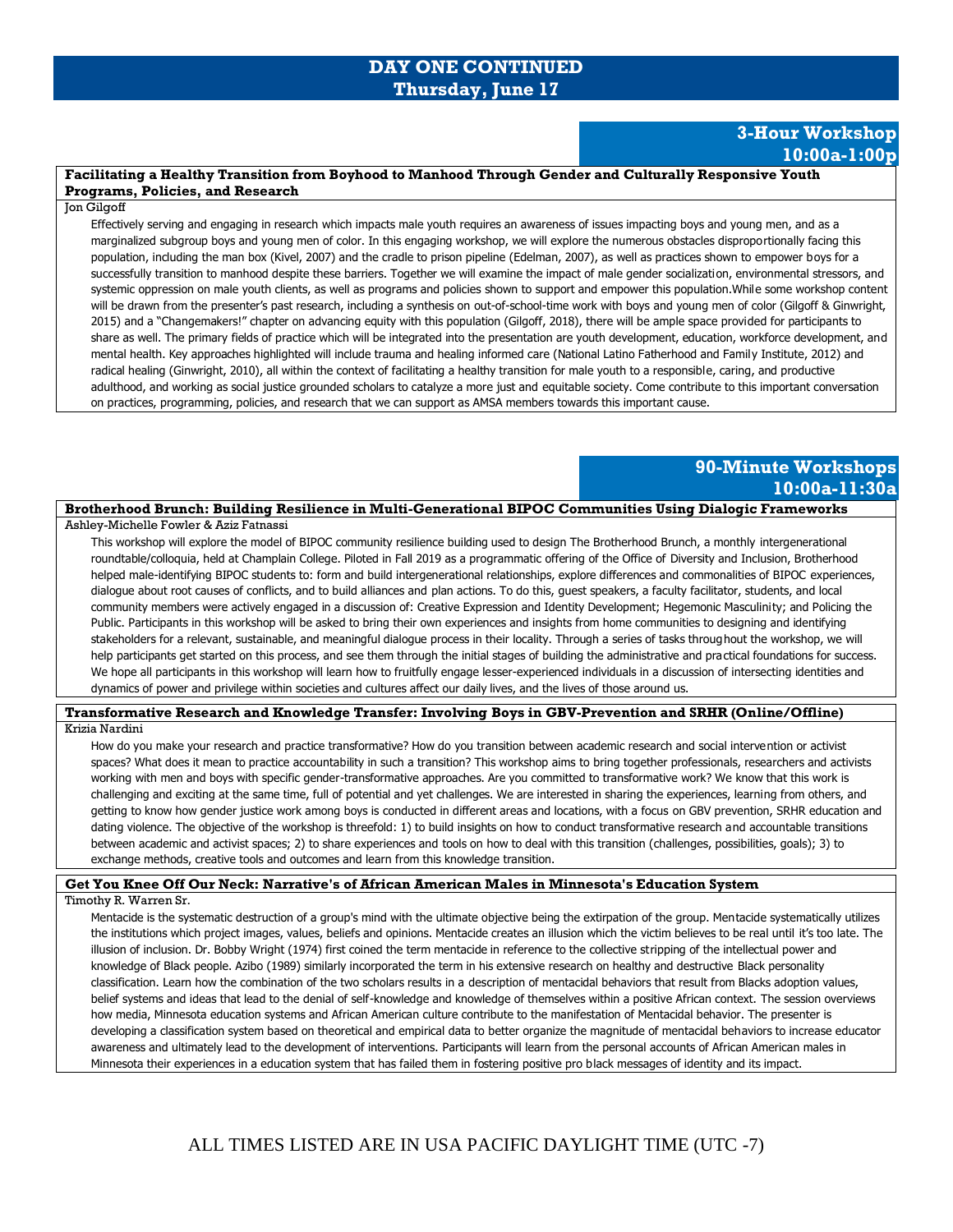# **DAY ONE CONTINUED Thursday, June 17**

## **3-Hour Workshop 10:00a-1:00p**

### **Facilitating a Healthy Transition from Boyhood to Manhood Through Gender and Culturally Responsive Youth Programs, Policies, and Research**

#### Jon Gilgoff

Effectively serving and engaging in research which impacts male youth requires an awareness of issues impacting boys and young men, and as a marginalized subgroup boys and young men of color. In this engaging workshop, we will explore the numerous obstacles disproportionally facing this population, including the man box (Kivel, 2007) and the cradle to prison pipeline (Edelman, 2007), as well as practices shown to empower boys for a successfully transition to manhood despite these barriers. Together we will examine the impact of male gender socialization, environmental stressors, and systemic oppression on male youth clients, as well as programs and policies shown to support and empower this population.While some workshop content will be drawn from the presenter's past research, including a synthesis on out-of-school-time work with boys and young men of color (Gilgoff & Ginwright, 2015) and a "Changemakers!" chapter on advancing equity with this population (Gilgoff, 2018), there will be ample space provided for participants to share as well. The primary fields of practice which will be integrated into the presentation are youth development, education, workforce development, and mental health. Key approaches highlighted will include trauma and healing informed care (National Latino Fatherhood and Family Institute, 2012) and radical healing (Ginwright, 2010), all within the context of facilitating a healthy transition for male youth to a responsible, caring, and productive adulthood, and working as social justice grounded scholars to catalyze a more just and equitable society. Come contribute to this important conversation on practices, programming, policies, and research that we can support as AMSA members towards this important cause.

# **90-Minute Workshops 10:00a-11:30a**

### **Brotherhood Brunch: Building Resilience in Multi-Generational BIPOC Communities Using Dialogic Frameworks**

Ashley-Michelle Fowler & Aziz Fatnassi

This workshop will explore the model of BIPOC community resilience building used to design The Brotherhood Brunch, a monthly intergenerational roundtable/colloquia, held at Champlain College. Piloted in Fall 2019 as a programmatic offering of the Office of Diversity and Inclusion, Brotherhood helped male-identifying BIPOC students to: form and build intergenerational relationships, explore differences and commonalities of BIPOC experiences, dialogue about root causes of conflicts, and to build alliances and plan actions. To do this, guest speakers, a faculty facilitator, students, and local community members were actively engaged in a discussion of: Creative Expression and Identity Development; Hegemonic Masculinity; and Policing the Public. Participants in this workshop will be asked to bring their own experiences and insights from home communities to designing and identifying stakeholders for a relevant, sustainable, and meaningful dialogue process in their locality. Through a series of tasks throughout the workshop, we will help participants get started on this process, and see them through the initial stages of building the administrative and practical foundations for success. We hope all participants in this workshop will learn how to fruitfully engage lesser-experienced individuals in a discussion of intersecting identities and dynamics of power and privilege within societies and cultures affect our daily lives, and the lives of those around us.

### **Transformative Research and Knowledge Transfer: Involving Boys in GBV-Prevention and SRHR (Online/Offline)**

#### Krizia Nardini

How do you make your research and practice transformative? How do you transition between academic research and social intervention or activist spaces? What does it mean to practice accountability in such a transition? This workshop aims to bring together professionals, researchers and activists working with men and boys with specific gender-transformative approaches. Are you committed to transformative work? We know that this work is challenging and exciting at the same time, full of potential and yet challenges. We are interested in sharing the experiences, learning from others, and getting to know how gender justice work among boys is conducted in different areas and locations, with a focus on GBV prevention, SRHR education and dating violence. The objective of the workshop is threefold: 1) to build insights on how to conduct transformative research and accountable transitions between academic and activist spaces; 2) to share experiences and tools on how to deal with this transition (challenges, possibilities, goals); 3) to exchange methods, creative tools and outcomes and learn from this knowledge transition.

### **Get You Knee Off Our Neck: Narrative's of African American Males in Minnesota's Education System**

Timothy R. Warren Sr.

Mentacide is the systematic destruction of a group's mind with the ultimate objective being the extirpation of the group. Mentacide systematically utilizes the institutions which project images, values, beliefs and opinions. Mentacide creates an illusion which the victim believes to be real until it's too late. The illusion of inclusion. Dr. Bobby Wright (1974) first coined the term mentacide in reference to the collective stripping of the intellectual power and knowledge of Black people. Azibo (1989) similarly incorporated the term in his extensive research on healthy and destructive Black personality classification. Learn how the combination of the two scholars results in a description of mentacidal behaviors that result from Blacks adoption values, belief systems and ideas that lead to the denial of self-knowledge and knowledge of themselves within a positive African context. The session overviews how media, Minnesota education systems and African American culture contribute to the manifestation of Mentacidal behavior. The presenter is developing a classification system based on theoretical and empirical data to better organize the magnitude of mentacidal behaviors to increase educator awareness and ultimately lead to the development of interventions. Participants will learn from the personal accounts of African American males in Minnesota their experiences in a education system that has failed them in fostering positive pro black messages of identity and its impact.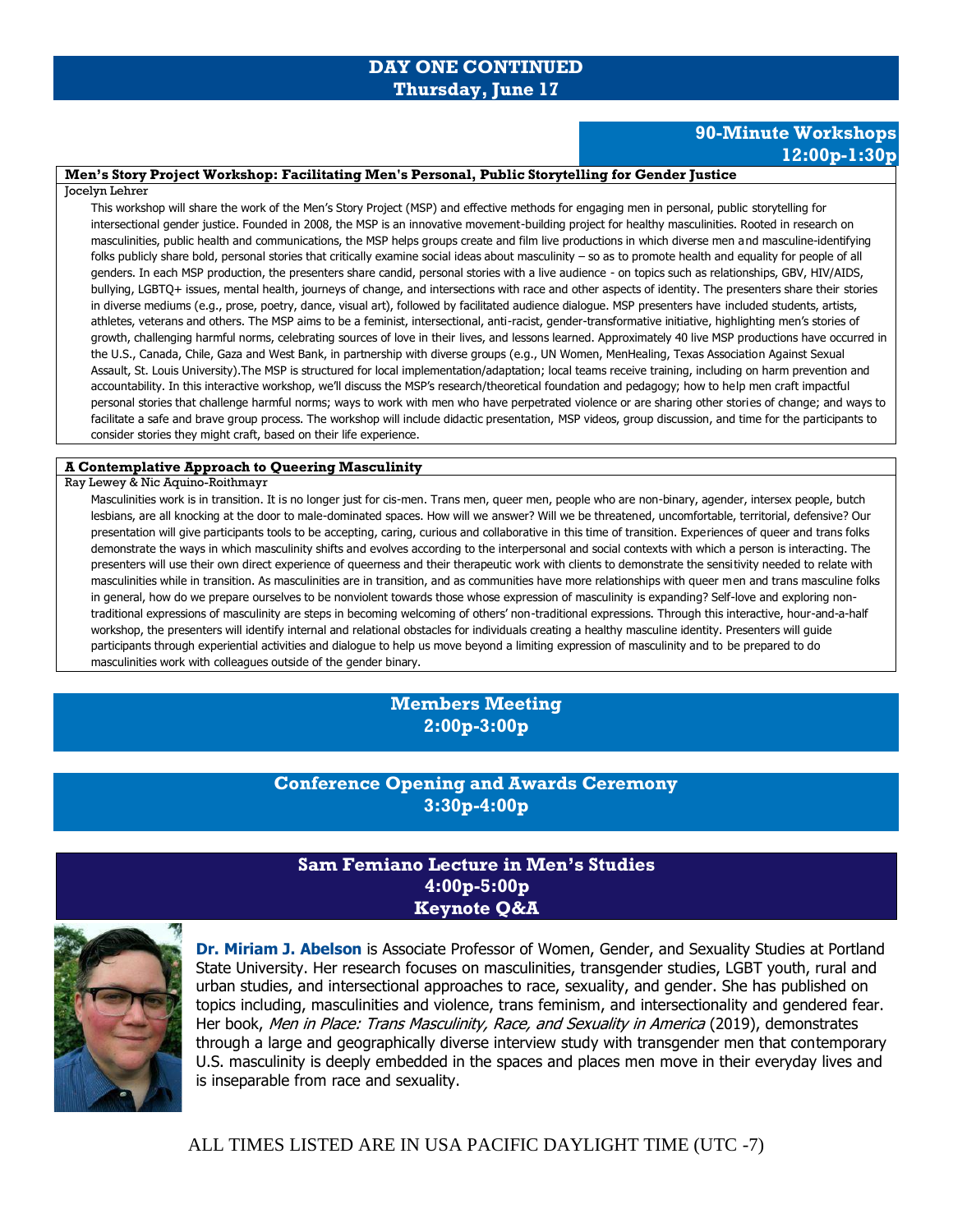# **DAY ONE CONTINUED Thursday, June 17**

# **90-Minute Workshops 12:00p-1:30p**

### **Men's Story Project Workshop: Facilitating Men's Personal, Public Storytelling for Gender Justice**

### Jocelyn Lehrer

This workshop will share the work of the Men's Story Project (MSP) and effective methods for engaging men in personal, public storytelling for intersectional gender justice. Founded in 2008, the MSP is an innovative movement-building project for healthy masculinities. Rooted in research on masculinities, public health and communications, the MSP helps groups create and film live productions in which diverse men and masculine-identifying folks publicly share bold, personal stories that critically examine social ideas about masculinity - so as to promote health and equality for people of all genders. In each MSP production, the presenters share candid, personal stories with a live audience - on topics such as relationships, GBV, HIV/AIDS, bullying, LGBTQ+ issues, mental health, journeys of change, and intersections with race and other aspects of identity. The presenters share their stories in diverse mediums (e.g., prose, poetry, dance, visual art), followed by facilitated audience dialogue. MSP presenters have included students, artists, athletes, veterans and others. The MSP aims to be a feminist, intersectional, anti-racist, gender-transformative initiative, highlighting men's stories of growth, challenging harmful norms, celebrating sources of love in their lives, and lessons learned. Approximately 40 live MSP productions have occurred in the U.S., Canada, Chile, Gaza and West Bank, in partnership with diverse groups (e.g., UN Women, MenHealing, Texas Association Against Sexual Assault, St. Louis University).The MSP is structured for local implementation/adaptation; local teams receive training, including on harm prevention and accountability. In this interactive workshop, we'll discuss the MSP's research/theoretical foundation and pedagogy; how to help men craft impactful personal stories that challenge harmful norms; ways to work with men who have perpetrated violence or are sharing other stories of change; and ways to facilitate a safe and brave group process. The workshop will include didactic presentation, MSP videos, group discussion, and time for the participants to consider stories they might craft, based on their life experience.

### **A Contemplative Approach to Queering Masculinity**

### Ray Lewey & Nic Aquino-Roithmayr

Masculinities work is in transition. It is no longer just for cis-men. Trans men, queer men, people who are non-binary, agender, intersex people, butch lesbians, are all knocking at the door to male-dominated spaces. How will we answer? Will we be threatened, uncomfortable, territorial, defensive? Our presentation will give participants tools to be accepting, caring, curious and collaborative in this time of transition. Experiences of queer and trans folks demonstrate the ways in which masculinity shifts and evolves according to the interpersonal and social contexts with which a person is interacting. The presenters will use their own direct experience of queerness and their therapeutic work with clients to demonstrate the sensitivity needed to relate with masculinities while in transition. As masculinities are in transition, and as communities have more relationships with queer men and trans masculine folks in general, how do we prepare ourselves to be nonviolent towards those whose expression of masculinity is expanding? Self-love and exploring nontraditional expressions of masculinity are steps in becoming welcoming of others' non-traditional expressions. Through this interactive, hour-and-a-half workshop, the presenters will identify internal and relational obstacles for individuals creating a healthy masculine identity. Presenters will guide participants through experiential activities and dialogue to help us move beyond a limiting expression of masculinity and to be prepared to do masculinities work with colleagues outside of the gender binary.

# **Members Meeting 2:00p-3:00p**

# **Conference Opening and Awards Ceremony 3:30p-4:00p**

# **Sam Femiano Lecture in Men's Studies 4:00p-5:00p Keynote Q&A**



**Dr. Miriam J. Abelson** is Associate Professor of Women, Gender, and Sexuality Studies at Portland State University. Her research focuses on masculinities, transgender studies, LGBT youth, rural and urban studies, and intersectional approaches to race, sexuality, and gender. She has published on topics including, masculinities and violence, trans feminism, and intersectionality and gendered fear. Her book, Men in Place: Trans Masculinity, Race, and Sexuality in America (2019), demonstrates through a large and geographically diverse interview study with transgender men that contemporary U.S. masculinity is deeply embedded in the spaces and places men move in their everyday lives and is inseparable from race and sexuality.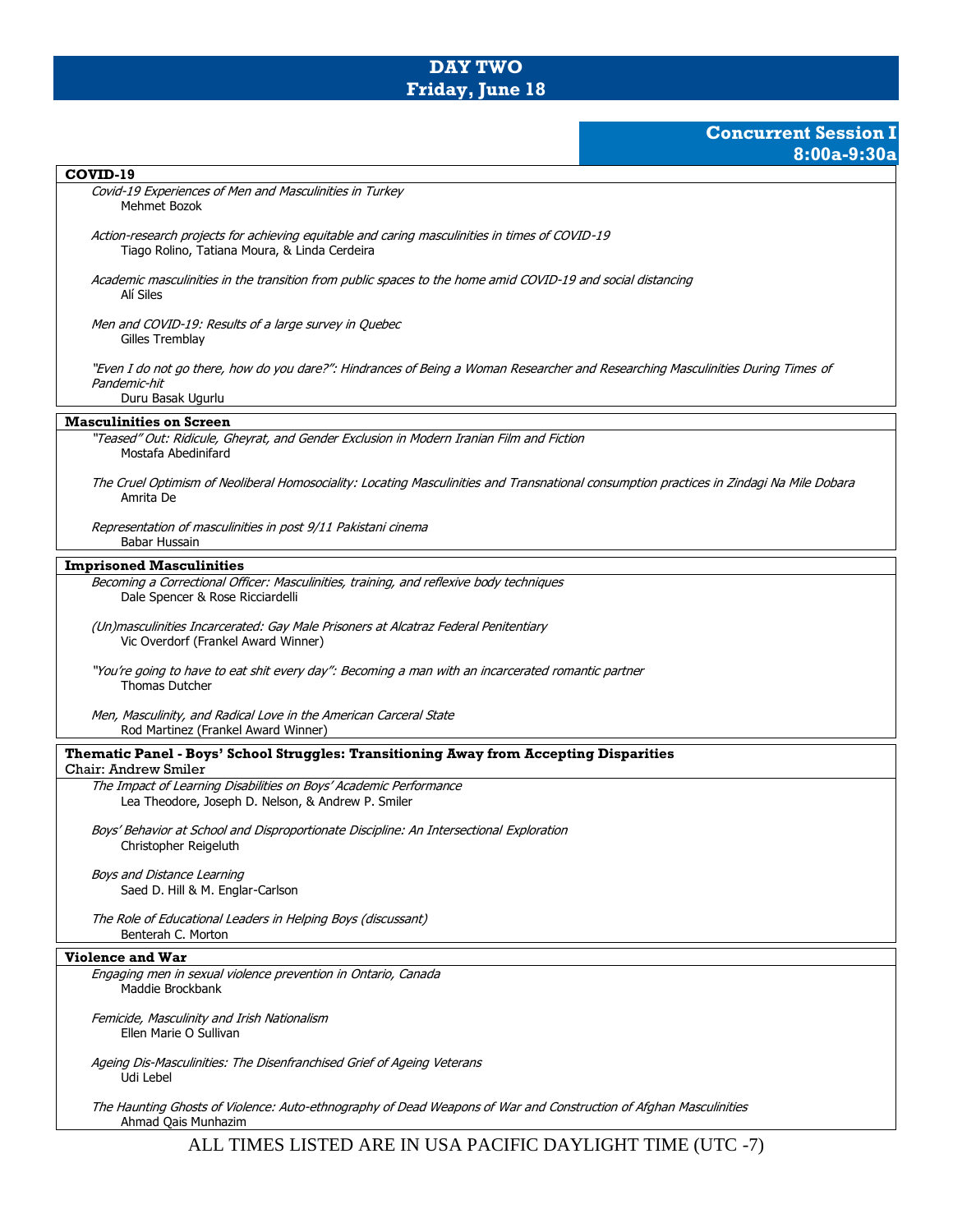# **DAY TWO Friday, June 18**

# **Concurrent Session I 8:00a-9:30a**

| COVID-19                                                                                                                                                              |
|-----------------------------------------------------------------------------------------------------------------------------------------------------------------------|
| Covid-19 Experiences of Men and Masculinities in Turkey<br>Mehmet Bozok                                                                                               |
| Action-research projects for achieving equitable and caring masculinities in times of COVID-19<br>Tiago Rolino, Tatiana Moura, & Linda Cerdeira                       |
| Academic masculinities in the transition from public spaces to the home amid COVID-19 and social distancing<br>Alí Siles                                              |
| Men and COVID-19: Results of a large survey in Quebec<br>Gilles Tremblay                                                                                              |
| "Even I do not go there, how do you dare?": Hindrances of Being a Woman Researcher and Researching Masculinities During Times of<br>Pandemic-hit<br>Duru Basak Ugurlu |
|                                                                                                                                                                       |
| <b>Masculinities on Screen</b>                                                                                                                                        |
| "Teased" Out: Ridicule, Gheyrat, and Gender Exclusion in Modern Iranian Film and Fiction<br>Mostafa Abedinifard                                                       |
| The Cruel Optimism of Neoliberal Homosociality: Locating Masculinities and Transnational consumption practices in Zindagi Na Mile Dobara<br>Amrita De                 |
| Representation of masculinities in post 9/11 Pakistani cinema<br>Babar Hussain                                                                                        |
| <b>Imprisoned Masculinities</b>                                                                                                                                       |
| Becoming a Correctional Officer: Masculinities, training, and reflexive body techniques<br>Dale Spencer & Rose Ricciardelli                                           |
| (Un)masculinities Incarcerated: Gay Male Prisoners at Alcatraz Federal Penitentiary<br>Vic Overdorf (Frankel Award Winner)                                            |
| "You're going to have to eat shit every day": Becoming a man with an incarcerated romantic partner<br><b>Thomas Dutcher</b>                                           |
| Men, Masculinity, and Radical Love in the American Carceral State<br>Rod Martinez (Frankel Award Winner)                                                              |
| Thematic Panel - Boys' School Struggles: Transitioning Away from Accepting Disparities<br>Chair: Andrew Smiler                                                        |
| The Impact of Learning Disabilities on Boys' Academic Performance                                                                                                     |
| Lea Theodore, Joseph D. Nelson, & Andrew P. Smiler                                                                                                                    |
| Boys' Behavior at School and Disproportionate Discipline: An Intersectional Exploration<br>Christopher Reigeluth                                                      |
| <b>Boys and Distance Learning</b><br>Saed D. Hill & M. Englar-Carlson                                                                                                 |
| The Role of Educational Leaders in Helping Boys (discussant)<br>Benterah C. Morton                                                                                    |
| <b>Violence and War</b>                                                                                                                                               |
| Engaging men in sexual violence prevention in Ontario, Canada<br>Maddie Brockbank                                                                                     |
| Femicide, Masculinity and Irish Nationalism<br>Ellen Marie O Sullivan                                                                                                 |
| Ageing Dis-Masculinities: The Disenfranchised Grief of Ageing Veterans<br>Udi Lebel                                                                                   |
| The Haunting Ghosts of Violence: Auto-ethnography of Dead Weapons of War and Construction of Afghan Masculinities<br>Ahmad Qais Munhazim                              |

 $\mathsf{l}$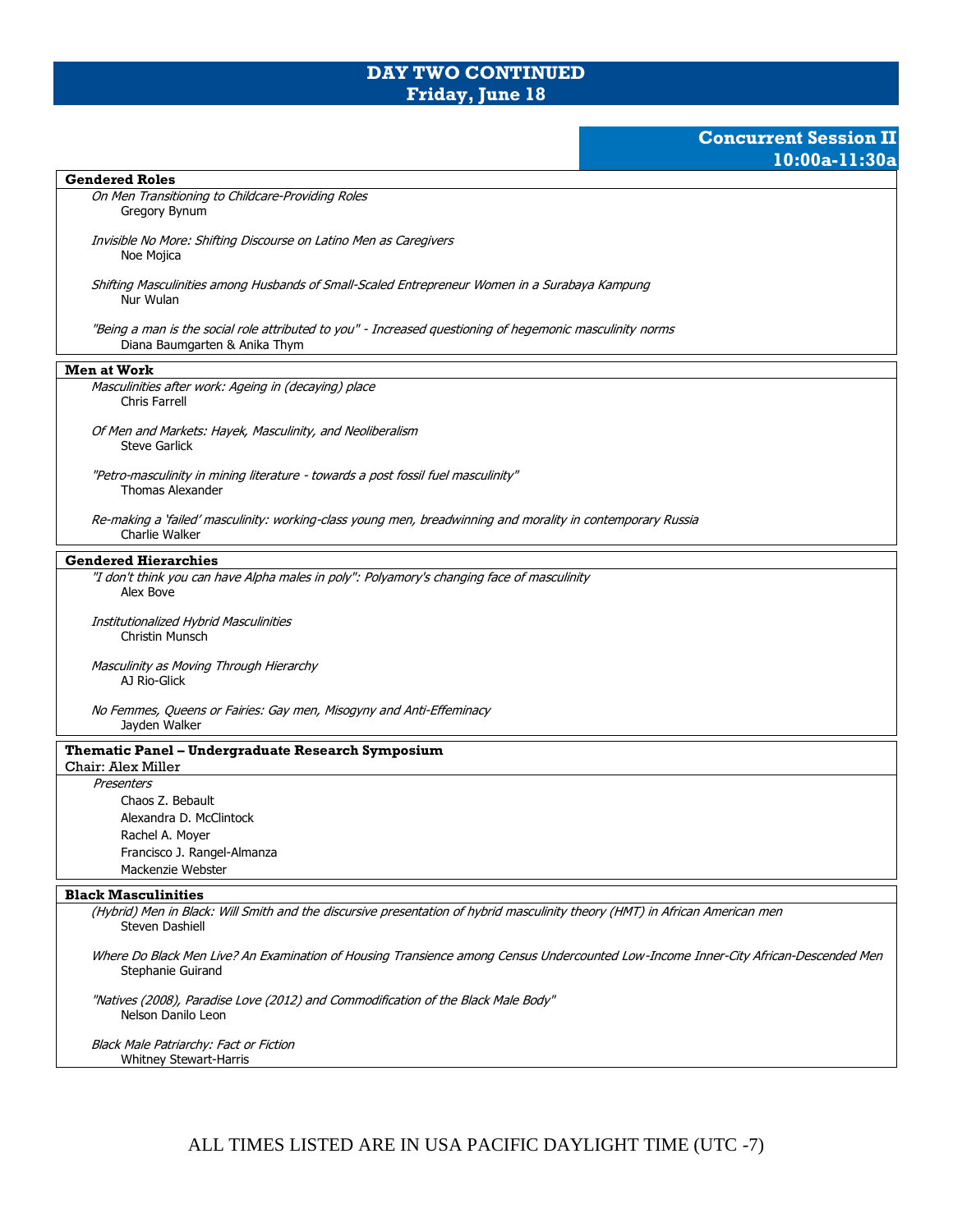# **DAY TWO CONTINUED Friday, June 18**

## **Concurrent Session II 10:00a-11:30a**

### **Gendered Roles**

On Men Transitioning to Childcare-Providing Roles Gregory Bynum

Invisible No More: Shifting Discourse on Latino Men as Caregivers Noe Mojica

Shifting Masculinities among Husbands of Small-Scaled Entrepreneur Women in a Surabaya Kampung Nur Wulan

"Being a man is the social role attributed to you" - Increased questioning of hegemonic masculinity norms Diana Baumgarten & Anika Thym

### **Men at Work**

Masculinities after work: Ageing in (decaying) place Chris Farrell

Of Men and Markets: Hayek, Masculinity, and Neoliberalism Steve Garlick

"Petro-masculinity in mining literature - towards a post fossil fuel masculinity" Thomas Alexander

Re-making a 'failed' masculinity: working-class young men, breadwinning and morality in contemporary Russia Charlie Walker

### **Gendered Hierarchies**

"I don't think you can have Alpha males in poly": Polyamory's changing face of masculinity Alex Bove

Institutionalized Hybrid Masculinities Christin Munsch

Masculinity as Moving Through Hierarchy AJ Rio-Glick

No Femmes, Queens or Fairies: Gay men, Misogyny and Anti-Effeminacy Jayden Walker

### **Thematic Panel – Undergraduate Research Symposium**

Chair: Alex Miller

**Presenters** Chaos Z. Bebault Alexandra D. McClintock Rachel A. Moyer Francisco J. Rangel-Almanza Mackenzie Webster

#### **Black Masculinities**

(Hybrid) Men in Black: Will Smith and the discursive presentation of hybrid masculinity theory (HMT) in African American men Steven Dashiell

Where Do Black Men Live? An Examination of Housing Transience among Census Undercounted Low-Income Inner-City African-Descended Men Stephanie Guirand

"Natives (2008), Paradise Love (2012) and Commodification of the Black Male Body" Nelson Danilo Leon

Black Male Patriarchy: Fact or Fiction Whitney Stewart-Harris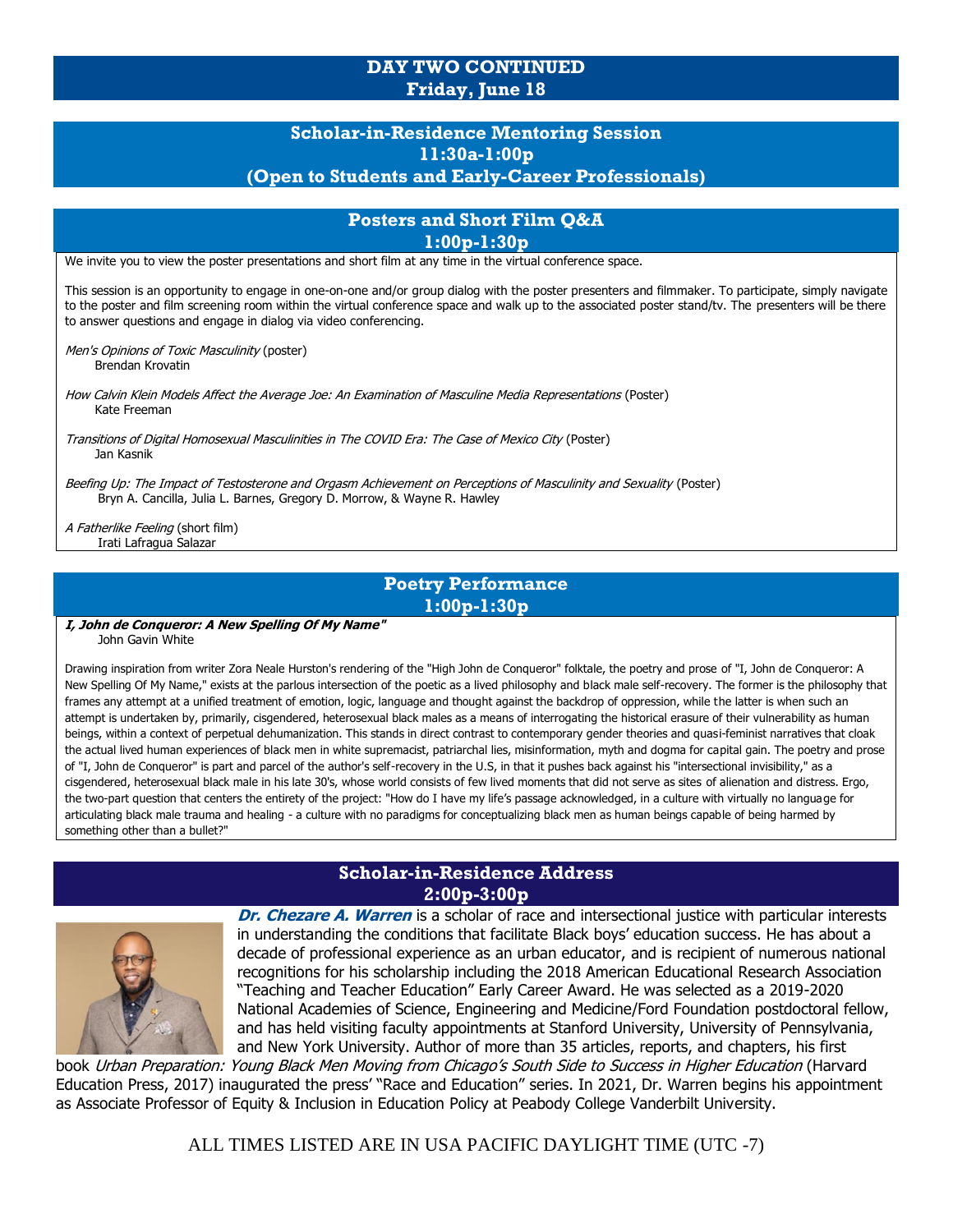# **DAY TWO CONTINUED Friday, June 18**

# **Scholar-in-Residence Mentoring Session 11:30a-1:00p (Open to Students and Early-Career Professionals)**

### **Posters and Short Film Q&A 1:00p-1:30p**

We invite you to view the poster presentations and short film at any time in the virtual conference space.

This session is an opportunity to engage in one-on-one and/or group dialog with the poster presenters and filmmaker. To participate, simply navigate to the poster and film screening room within the virtual conference space and walk up to the associated poster stand/tv. The presenters will be there to answer questions and engage in dialog via video conferencing.

Men's Opinions of Toxic Masculinity (poster) Brendan Krovatin

How Calvin Klein Models Affect the Average Joe: An Examination of Masculine Media Representations (Poster) Kate Freeman

Transitions of Digital Homosexual Masculinities in The COVID Era: The Case of Mexico City (Poster) Jan Kasnik

Beefing Up: The Impact of Testosterone and Orgasm Achievement on Perceptions of Masculinity and Sexuality (Poster) Bryn A. Cancilla, Julia L. Barnes, Gregory D. Morrow, & Wayne R. Hawley

A Fatherlike Feeling (short film) Irati Lafragua Salazar

# **Poetry Performance 1:00p-1:30p**

**I, John de Conqueror: A New Spelling Of My Name"** John Gavin White

Drawing inspiration from writer Zora Neale Hurston's rendering of the "High John de Conqueror" folktale, the poetry and prose of "I, John de Conqueror: A New Spelling Of My Name," exists at the parlous intersection of the poetic as a lived philosophy and black male self-recovery. The former is the philosophy that frames any attempt at a unified treatment of emotion, logic, language and thought against the backdrop of oppression, while the latter is when such an attempt is undertaken by, primarily, cisgendered, heterosexual black males as a means of interrogating the historical erasure of their vulnerability as human beings, within a context of perpetual dehumanization. This stands in direct contrast to contemporary gender theories and quasi-feminist narratives that cloak the actual lived human experiences of black men in white supremacist, patriarchal lies, misinformation, myth and dogma for capital gain. The poetry and prose of "I, John de Conqueror" is part and parcel of the author's self-recovery in the U.S, in that it pushes back against his "intersectional invisibility," as a cisgendered, heterosexual black male in his late 30's, whose world consists of few lived moments that did not serve as sites of alienation and distress. Ergo, the two-part question that centers the entirety of the project: "How do I have my life's passage acknowledged, in a culture with virtually no language for articulating black male trauma and healing - a culture with no paradigms for conceptualizing black men as human beings capable of being harmed by something other than a bullet?"

# **Scholar-in-Residence Address 2:00p-3:00p**



**Dr. Chezare A. Warren** is a scholar of race and intersectional justice with particular interests in understanding the conditions that facilitate Black boys' education success. He has about a decade of professional experience as an urban educator, and is recipient of numerous national recognitions for his scholarship including the 2018 American Educational Research Association "Teaching and Teacher Education" Early Career Award. He was selected as a 2019-2020 National Academies of Science, Engineering and Medicine/Ford Foundation postdoctoral fellow, and has held visiting faculty appointments at Stanford University, University of Pennsylvania, and New York University. Author of more than 35 articles, reports, and chapters, his first

book Urban Preparation: Young Black Men Moving from Chicago's South Side to Success in Higher Education (Harvard Education Press, 2017) inaugurated the press' "Race and Education" series. In 2021, Dr. Warren begins his appointment as Associate Professor of Equity & Inclusion in Education Policy at Peabody College Vanderbilt University.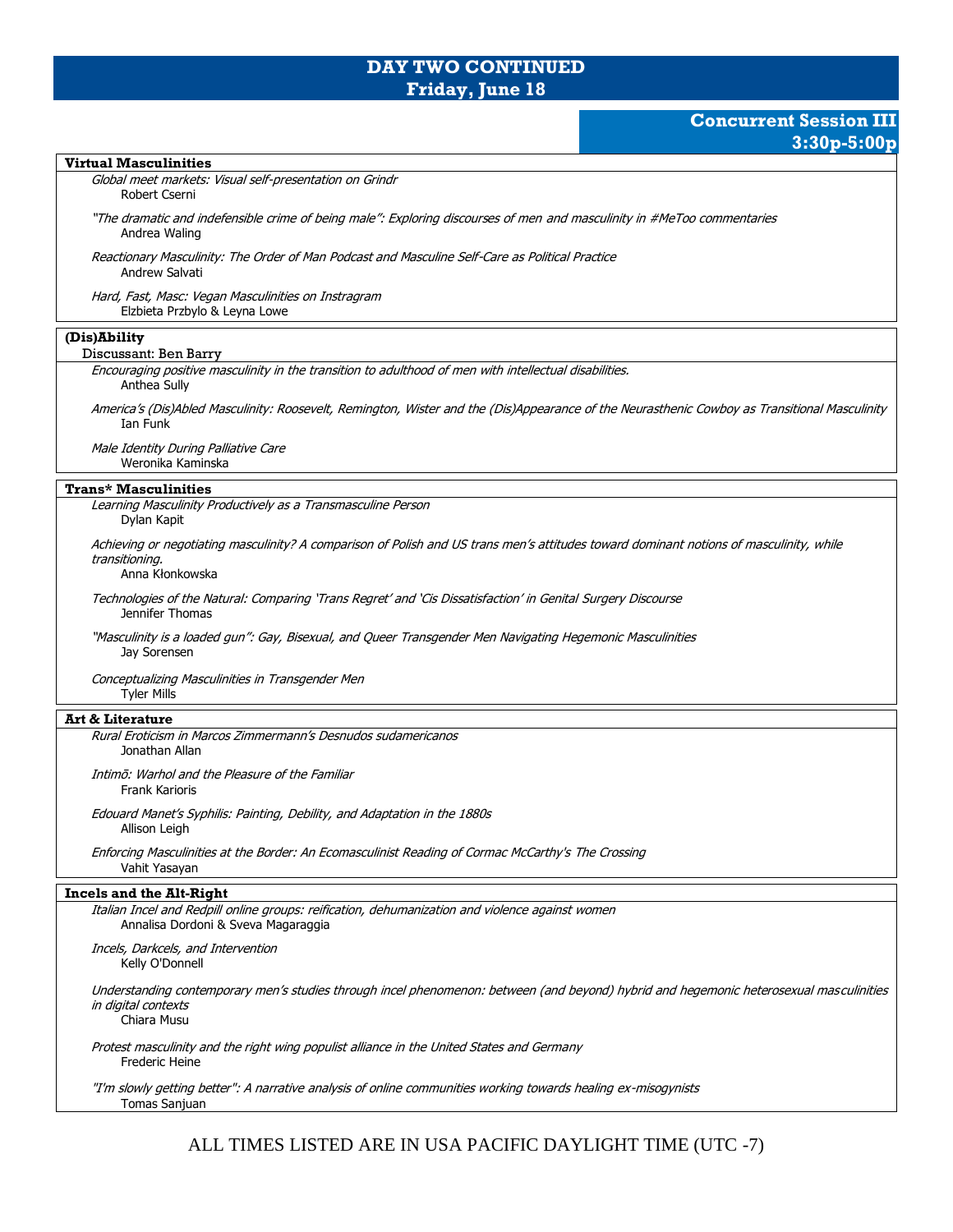### **DAY TWO CONTINUED Friday, June 18**

# **Concurrent Session III 3:30p-5:00p**

### **Virtual Masculinities** Global meet markets: Visual self-presentation on Grindr Robert Cserni "The dramatic and indefensible crime of being male": Exploring discourses of men and masculinity in #MeToo commentaries Andrea Waling Reactionary Masculinity: The Order of Man Podcast and Masculine Self-Care as Political Practice Andrew Salvati Hard, Fast, Masc: Vegan Masculinities on Instragram Elzbieta Przbylo & Leyna Lowe **(Dis)Ability** Discussant: Ben Barry Encouraging positive masculinity in the transition to adulthood of men with intellectual disabilities. Anthea Sully America's (Dis)Abled Masculinity: Roosevelt, Remington, Wister and the (Dis)Appearance of the Neurasthenic Cowboy as Transitional Masculinity Ian Funk Male Identity During Palliative Care Weronika Kaminska **Trans\* Masculinities** Learning Masculinity Productively as a Transmasculine Person Dylan Kapit Achieving or negotiating masculinity? A comparison of Polish and US trans men's attitudes toward dominant notions of masculinity, while transitioning. Anna Kłonkowska Technologies of the Natural: Comparing 'Trans Regret' and 'Cis Dissatisfaction' in Genital Surgery Discourse Jennifer Thomas "Masculinity is a loaded gun": Gay, Bisexual, and Queer Transgender Men Navigating Hegemonic Masculinities Jay Sorensen Conceptualizing Masculinities in Transgender Men Tyler Mills **Art & Literature** Rural Eroticism in Marcos Zimmermann's Desnudos sudamericanos Jonathan Allan Intimō: Warhol and the Pleasure of the Familiar Frank Karioris Edouard Manet's Syphilis: Painting, Debility, and Adaptation in the 1880s Allison Leigh Enforcing Masculinities at the Border: An Ecomasculinist Reading of Cormac McCarthy's The Crossing Vahit Yasayan **Incels and the Alt-Right** Italian Incel and Redpill online groups: reification, dehumanization and violence against women Annalisa Dordoni & Sveva Magaraggia Incels, Darkcels, and Intervention Kelly O'Donnell Understanding contemporary men's studies through incel phenomenon: between (and beyond) hybrid and hegemonic heterosexual masculinities in digital contexts Chiara Musu Protest masculinity and the right wing populist alliance in the United States and Germany Frederic Heine "I'm slowly getting better": A narrative analysis of online communities working towards healing ex-misogynists Tomas Sanjuan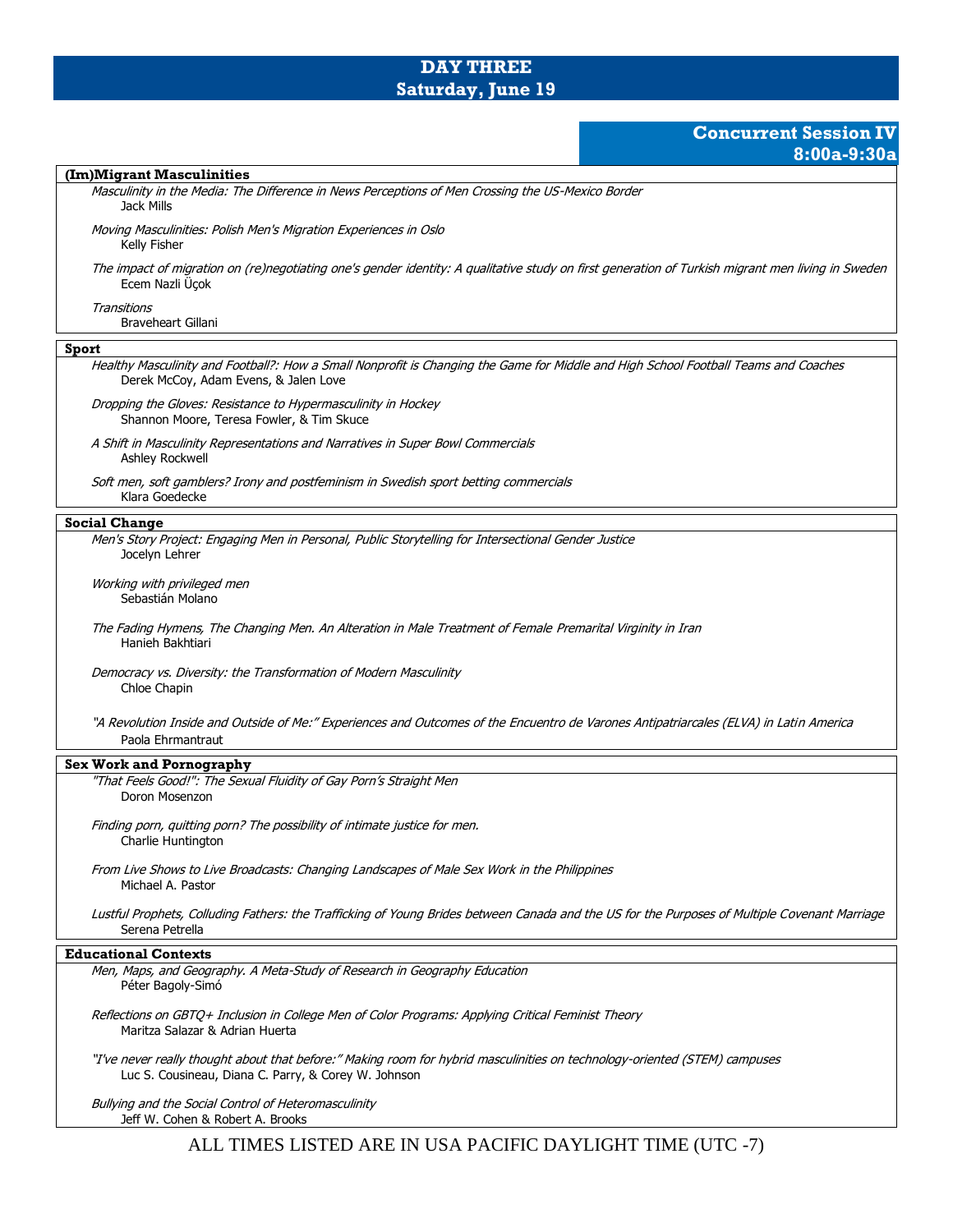## **DAY THREE Saturday, June 19**

## **Concurrent Session IV 8:00a-9:30a**

#### **(Im)Migrant Masculinities**

Masculinity in the Media: The Difference in News Perceptions of Men Crossing the US-Mexico Border Jack Mills

Moving Masculinities: Polish Men's Migration Experiences in Oslo Kelly Fisher

The impact of migration on (re)negotiating one's gender identity: A qualitative study on first generation of Turkish migrant men living in Sweden Ecem Nazli Üçok

**Transitions** 

Braveheart Gillani

### **Sport**

Healthy Masculinity and Football?: How a Small Nonprofit is Changing the Game for Middle and High School Football Teams and Coaches Derek McCoy, Adam Evens, & Jalen Love

Dropping the Gloves: Resistance to Hypermasculinity in Hockey Shannon Moore, Teresa Fowler, & Tim Skuce

A Shift in Masculinity Representations and Narratives in Super Bowl Commercials Ashley Rockwell

Soft men, soft gamblers? Irony and postfeminism in Swedish sport betting commercials Klara Goedecke

### **Social Change**

Men's Story Project: Engaging Men in Personal, Public Storytelling for Intersectional Gender Justice Jocelyn Lehrer

Working with privileged men Sebastián Molano

The Fading Hymens, The Changing Men. An Alteration in Male Treatment of Female Premarital Virginity in Iran Hanieh Bakhtiari

Democracy vs. Diversity: the Transformation of Modern Masculinity Chloe Chapin

"A Revolution Inside and Outside of Me:" Experiences and Outcomes of the Encuentro de Varones Antipatriarcales (ELVA) in Latin America Paola Ehrmantraut

### **Sex Work and Pornography**

"That Feels Good!": The Sexual Fluidity of Gay Porn's Straight Men Doron Mosenzon

Finding porn, quitting porn? The possibility of intimate justice for men. Charlie Huntington

From Live Shows to Live Broadcasts: Changing Landscapes of Male Sex Work in the Philippines Michael A. Pastor

Lustful Prophets, Colluding Fathers: the Trafficking of Young Brides between Canada and the US for the Purposes of Multiple Covenant Marriage Serena Petrella

### **Educational Contexts**

Men, Maps, and Geography. A Meta-Study of Research in Geography Education Péter Bagoly-Simó

Reflections on GBTQ+ Inclusion in College Men of Color Programs: Applying Critical Feminist Theory Maritza Salazar & Adrian Huerta

"I've never really thought about that before:" Making room for hybrid masculinities on technology-oriented (STEM) campuses Luc S. Cousineau, Diana C. Parry, & Corey W. Johnson

Bullying and the Social Control of Heteromasculinity Jeff W. Cohen & Robert A. Brooks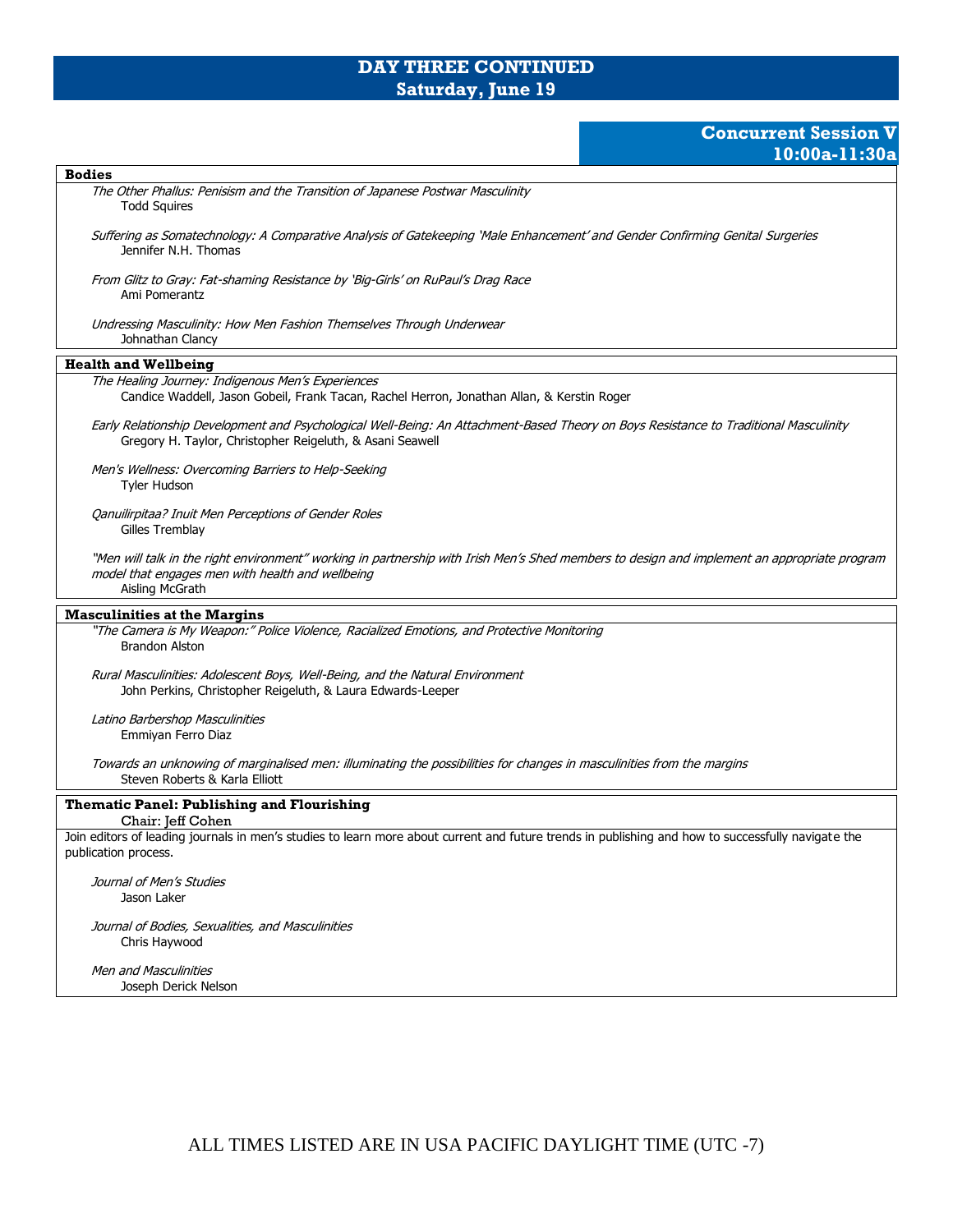# **DAY THREE CONTINUED Saturday, June 19**

# **Concurrent Session V 10:00a-11:30a**

| <b>Bodies</b>                                                                                                                                                                                                       |
|---------------------------------------------------------------------------------------------------------------------------------------------------------------------------------------------------------------------|
| The Other Phallus: Penisism and the Transition of Japanese Postwar Masculinity<br><b>Todd Squires</b>                                                                                                               |
| Suffering as Somatechnology: A Comparative Analysis of Gatekeeping 'Male Enhancement' and Gender Confirming Genital Surgeries<br>Jennifer N.H. Thomas                                                               |
| From Glitz to Gray: Fat-shaming Resistance by 'Big-Girls' on RuPaul's Drag Race<br>Ami Pomerantz                                                                                                                    |
| Undressing Masculinity: How Men Fashion Themselves Through Underwear<br>Johnathan Clancy                                                                                                                            |
| <b>Health and Wellbeing</b>                                                                                                                                                                                         |
| The Healing Journey: Indigenous Men's Experiences<br>Candice Waddell, Jason Gobeil, Frank Tacan, Rachel Herron, Jonathan Allan, & Kerstin Roger                                                                     |
| Early Relationship Development and Psychological Well-Being: An Attachment-Based Theory on Boys Resistance to Traditional Masculinity<br>Gregory H. Taylor, Christopher Reigeluth, & Asani Seawell                  |
| Men's Wellness: Overcoming Barriers to Help-Seeking<br><b>Tyler Hudson</b>                                                                                                                                          |
| Qanuilirpitaa? Inuit Men Perceptions of Gender Roles<br>Gilles Tremblay                                                                                                                                             |
| "Men will talk in the right environment" working in partnership with Irish Men's Shed members to design and implement an appropriate program<br>model that engages men with health and wellbeing<br>Aisling McGrath |
| <b>Masculinities at the Margins</b>                                                                                                                                                                                 |
| "The Camera is My Weapon:" Police Violence, Racialized Emotions, and Protective Monitoring<br><b>Brandon Alston</b>                                                                                                 |
| Rural Masculinities: Adolescent Boys, Well-Being, and the Natural Environment<br>John Perkins, Christopher Reigeluth, & Laura Edwards-Leeper                                                                        |
| Latino Barbershop Masculinities<br>Emmiyan Ferro Diaz                                                                                                                                                               |
| Towards an unknowing of marginalised men: illuminating the possibilities for changes in masculinities from the margins<br>Steven Roberts & Karla Elliott                                                            |
| <b>Thematic Panel: Publishing and Flourishing</b><br>Chair: Jeff Cohen                                                                                                                                              |
| Join editors of leading journals in men's studies to learn more about current and future trends in publishing and how to successfully navigate the<br>publication process.                                          |
| Journal of Men's Studies<br>Jason Laker                                                                                                                                                                             |
| Journal of Bodies, Sexualities, and Masculinities<br>Chris Haywood                                                                                                                                                  |
| <b>Men and Masculinities</b><br>Joseph Derick Nelson                                                                                                                                                                |
|                                                                                                                                                                                                                     |